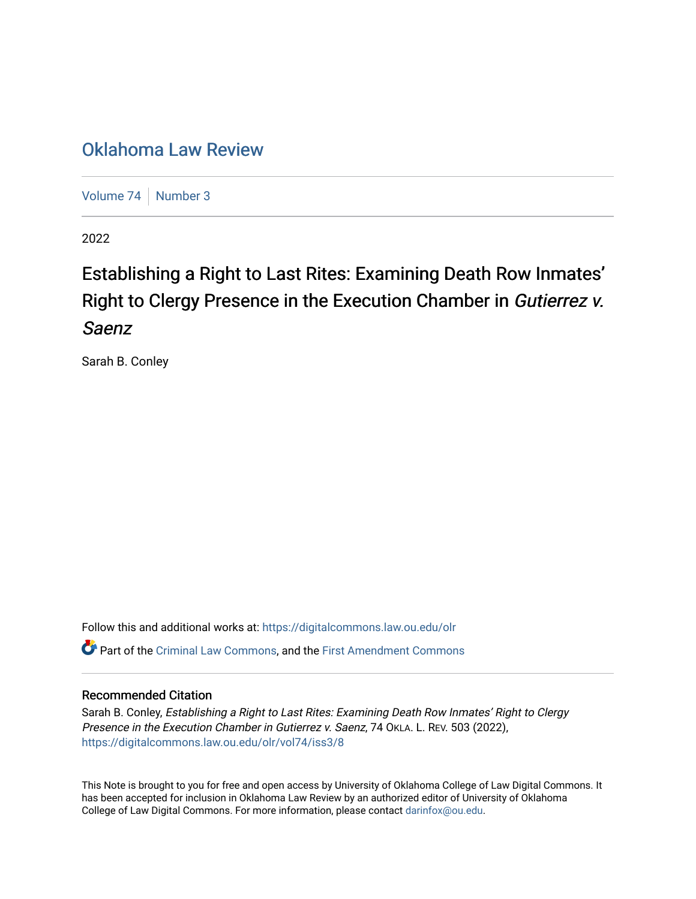## [Oklahoma Law Review](https://digitalcommons.law.ou.edu/olr)

[Volume 74](https://digitalcommons.law.ou.edu/olr/vol74) [Number 3](https://digitalcommons.law.ou.edu/olr/vol74/iss3)

2022

# Establishing a Right to Last Rites: Examining Death Row Inmates' Right to Clergy Presence in the Execution Chamber in Gutierrez v. Saenz

Sarah B. Conley

Follow this and additional works at: [https://digitalcommons.law.ou.edu/olr](https://digitalcommons.law.ou.edu/olr?utm_source=digitalcommons.law.ou.edu%2Folr%2Fvol74%2Fiss3%2F8&utm_medium=PDF&utm_campaign=PDFCoverPages) Part of the [Criminal Law Commons,](https://network.bepress.com/hgg/discipline/912?utm_source=digitalcommons.law.ou.edu%2Folr%2Fvol74%2Fiss3%2F8&utm_medium=PDF&utm_campaign=PDFCoverPages) and the [First Amendment Commons](https://network.bepress.com/hgg/discipline/1115?utm_source=digitalcommons.law.ou.edu%2Folr%2Fvol74%2Fiss3%2F8&utm_medium=PDF&utm_campaign=PDFCoverPages) 

#### Recommended Citation

Sarah B. Conley, Establishing a Right to Last Rites: Examining Death Row Inmates' Right to Clergy Presence in the Execution Chamber in Gutierrez v. Saenz, 74 OKLA. L. REV. 503 (2022), [https://digitalcommons.law.ou.edu/olr/vol74/iss3/8](https://digitalcommons.law.ou.edu/olr/vol74/iss3/8?utm_source=digitalcommons.law.ou.edu%2Folr%2Fvol74%2Fiss3%2F8&utm_medium=PDF&utm_campaign=PDFCoverPages) 

This Note is brought to you for free and open access by University of Oklahoma College of Law Digital Commons. It has been accepted for inclusion in Oklahoma Law Review by an authorized editor of University of Oklahoma College of Law Digital Commons. For more information, please contact [darinfox@ou.edu.](mailto:darinfox@ou.edu)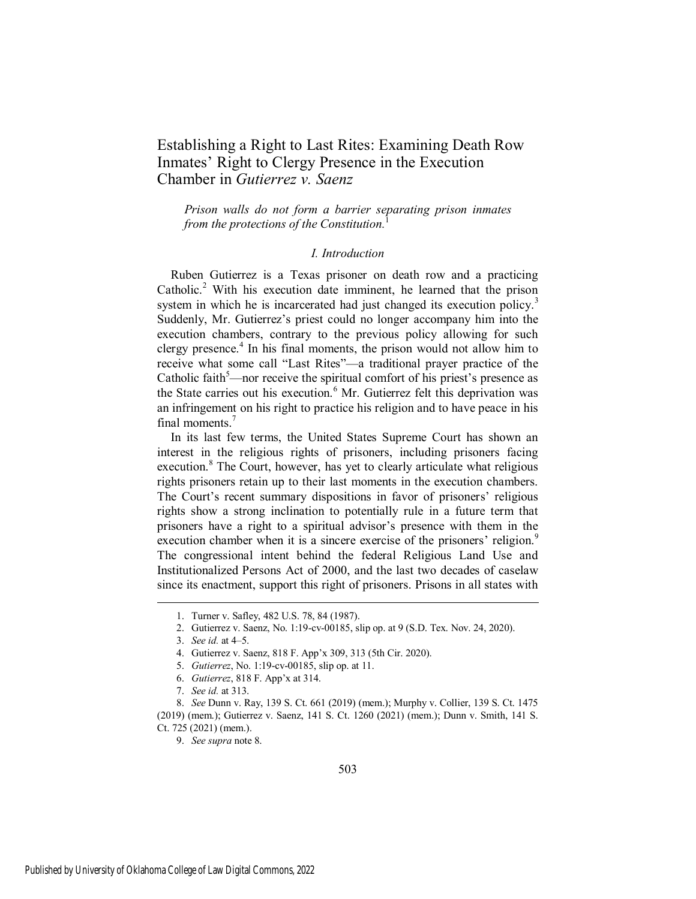### Establishing a Right to Last Rites: Examining Death Row Inmates' Right to Clergy Presence in the Execution Chamber in *Gutierrez v. Saenz*

*Prison walls do not form a barrier separating prison inmates from the protections of the Constitution.* 

#### *I. Introduction*

Ruben Gutierrez is a Texas prisoner on death row and a practicing Catholic.<sup>2</sup> With his execution date imminent, he learned that the prison system in which he is incarcerated had just changed its execution policy.<sup>3</sup> Suddenly, Mr. Gutierrez's priest could no longer accompany him into the execution chambers, contrary to the previous policy allowing for such clergy presence.<sup>4</sup> In his final moments, the prison would not allow him to receive what some call "Last Rites"—a traditional prayer practice of the Catholic faith $5$ —nor receive the spiritual comfort of his priest's presence as the State carries out his execution.<sup>6</sup> Mr. Gutierrez felt this deprivation was an infringement on his right to practice his religion and to have peace in his final moments.<sup>7</sup>

In its last few terms, the United States Supreme Court has shown an interest in the religious rights of prisoners, including prisoners facing execution.<sup>8</sup> The Court, however, has yet to clearly articulate what religious rights prisoners retain up to their last moments in the execution chambers. The Court's recent summary dispositions in favor of prisoners' religious rights show a strong inclination to potentially rule in a future term that prisoners have a right to a spiritual advisor's presence with them in the execution chamber when it is a sincere exercise of the prisoners' religion.<sup>9</sup> The congressional intent behind the federal Religious Land Use and Institutionalized Persons Act of 2000, and the last two decades of caselaw since its enactment, support this right of prisoners. Prisons in all states with

<sup>1.</sup> Turner v. Safley, 482 U.S. 78, 84 (1987).

<sup>2.</sup> Gutierrez v. Saenz, No. 1:19-cv-00185, slip op. at 9 (S.D. Tex. Nov. 24, 2020).

<sup>3.</sup> *See id.* at 4–5.

<sup>4.</sup> Gutierrez v. Saenz, 818 F. App'x 309, 313 (5th Cir. 2020).

<sup>5.</sup> *Gutierrez*, No. 1:19-cv-00185, slip op. at 11.

<sup>6.</sup> *Gutierrez*, 818 F. App'x at 314.

<sup>7.</sup> *See id.* at 313.

<sup>8.</sup> *See* Dunn v. Ray, 139 S. Ct. 661 (2019) (mem.); Murphy v. Collier, 139 S. Ct. 1475 (2019) (mem.); Gutierrez v. Saenz, 141 S. Ct. 1260 (2021) (mem.); Dunn v. Smith, 141 S. Ct. 725 (2021) (mem.).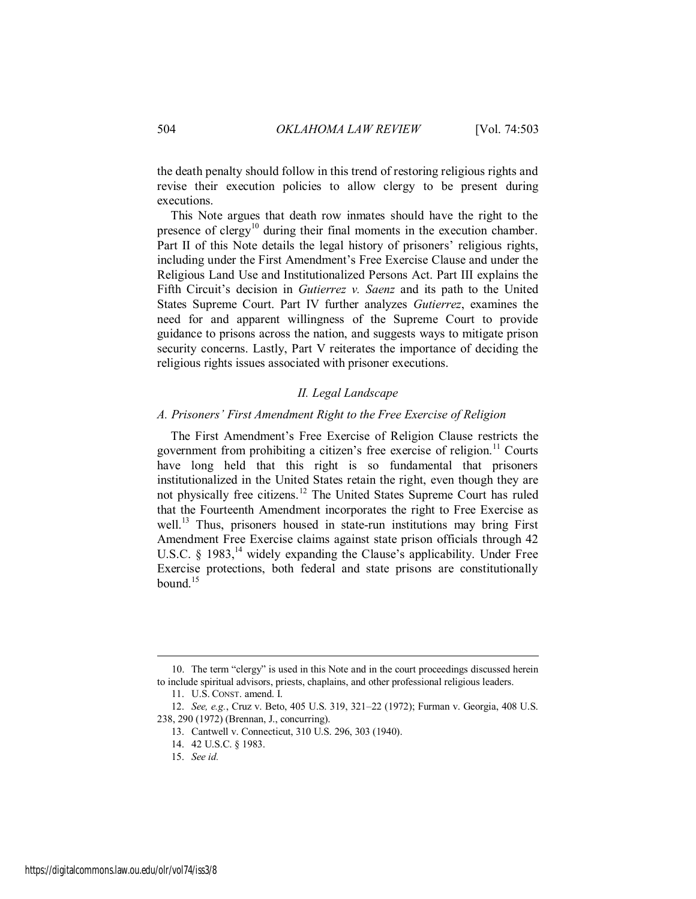the death penalty should follow in this trend of restoring religious rights and revise their execution policies to allow clergy to be present during executions.

This Note argues that death row inmates should have the right to the presence of clergy<sup>10</sup> during their final moments in the execution chamber. Part II of this Note details the legal history of prisoners' religious rights, including under the First Amendment's Free Exercise Clause and under the Religious Land Use and Institutionalized Persons Act. Part III explains the Fifth Circuit's decision in *Gutierrez v. Saenz* and its path to the United States Supreme Court. Part IV further analyzes *Gutierrez*, examines the need for and apparent willingness of the Supreme Court to provide guidance to prisons across the nation, and suggests ways to mitigate prison security concerns. Lastly, Part V reiterates the importance of deciding the religious rights issues associated with prisoner executions.

#### *II. Legal Landscape*

#### *A. Prisoners' First Amendment Right to the Free Exercise of Religion*

The First Amendment's Free Exercise of Religion Clause restricts the government from prohibiting a citizen's free exercise of religion.<sup>11</sup> Courts have long held that this right is so fundamental that prisoners institutionalized in the United States retain the right, even though they are not physically free citizens.<sup>12</sup> The United States Supreme Court has ruled that the Fourteenth Amendment incorporates the right to Free Exercise as well.<sup>13</sup> Thus, prisoners housed in state-run institutions may bring First Amendment Free Exercise claims against state prison officials through 42 U.S.C. § 1983,<sup>14</sup> widely expanding the Clause's applicability. Under Free Exercise protections, both federal and state prisons are constitutionally bound $15$ 

<sup>10.</sup> The term "clergy" is used in this Note and in the court proceedings discussed herein to include spiritual advisors, priests, chaplains, and other professional religious leaders.

<sup>11.</sup> U.S. CONST. amend. I.

<sup>12.</sup> *See, e.g.*, Cruz v. Beto, 405 U.S. 319, 321–22 (1972); Furman v. Georgia, 408 U.S. 238, 290 (1972) (Brennan, J., concurring).

<sup>13.</sup> Cantwell v. Connecticut, 310 U.S. 296, 303 (1940).

<sup>14. 42</sup> U.S.C. § 1983.

<sup>15.</sup> *See id.*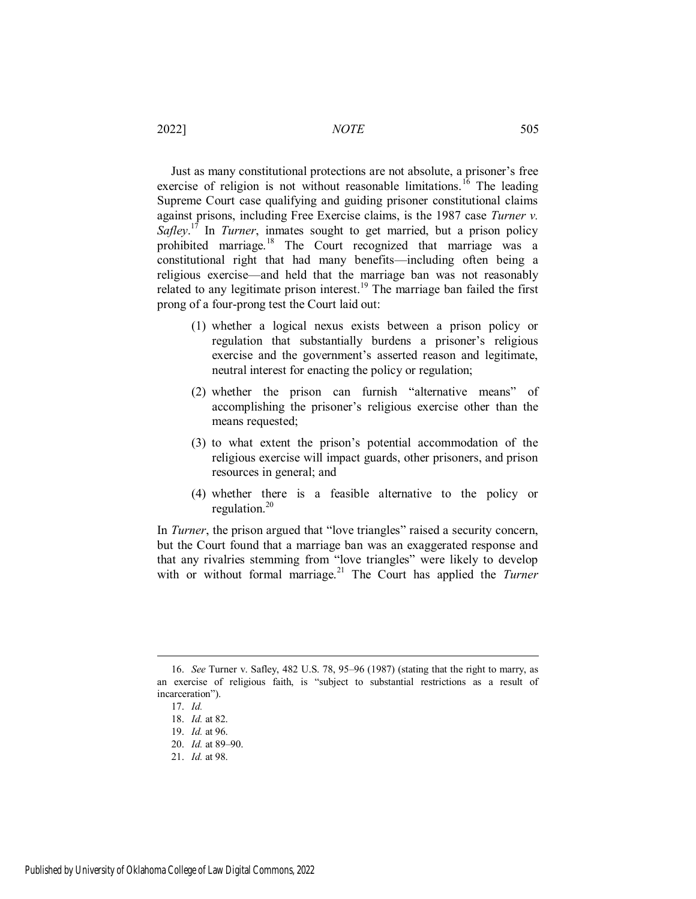Just as many constitutional protections are not absolute, a prisoner's free exercise of religion is not without reasonable limitations.<sup>16</sup> The leading Supreme Court case qualifying and guiding prisoner constitutional claims against prisons, including Free Exercise claims, is the 1987 case *Turner v. Safley*.<sup>17</sup> In *Turner*, inmates sought to get married, but a prison policy prohibited marriage.<sup>18</sup> The Court recognized that marriage was a constitutional right that had many benefits—including often being a religious exercise—and held that the marriage ban was not reasonably related to any legitimate prison interest.<sup>19</sup> The marriage ban failed the first prong of a four-prong test the Court laid out:

- (1) whether a logical nexus exists between a prison policy or regulation that substantially burdens a prisoner's religious exercise and the government's asserted reason and legitimate, neutral interest for enacting the policy or regulation;
- (2) whether the prison can furnish "alternative means" of accomplishing the prisoner's religious exercise other than the means requested;
- (3) to what extent the prison's potential accommodation of the religious exercise will impact guards, other prisoners, and prison resources in general; and
- (4) whether there is a feasible alternative to the policy or regulation. $20$

In *Turner*, the prison argued that "love triangles" raised a security concern, but the Court found that a marriage ban was an exaggerated response and that any rivalries stemming from "love triangles" were likely to develop with or without formal marriage.<sup>21</sup> The Court has applied the *Turner* 

<sup>16.</sup> *See* Turner v. Safley, 482 U.S. 78, 95–96 (1987) (stating that the right to marry, as an exercise of religious faith, is "subject to substantial restrictions as a result of incarceration").

<sup>17.</sup> *Id.*

<sup>18.</sup> *Id.* at 82.

<sup>19.</sup> *Id.* at 96.

<sup>20.</sup> *Id.* at 89–90.

<sup>21.</sup> *Id.* at 98.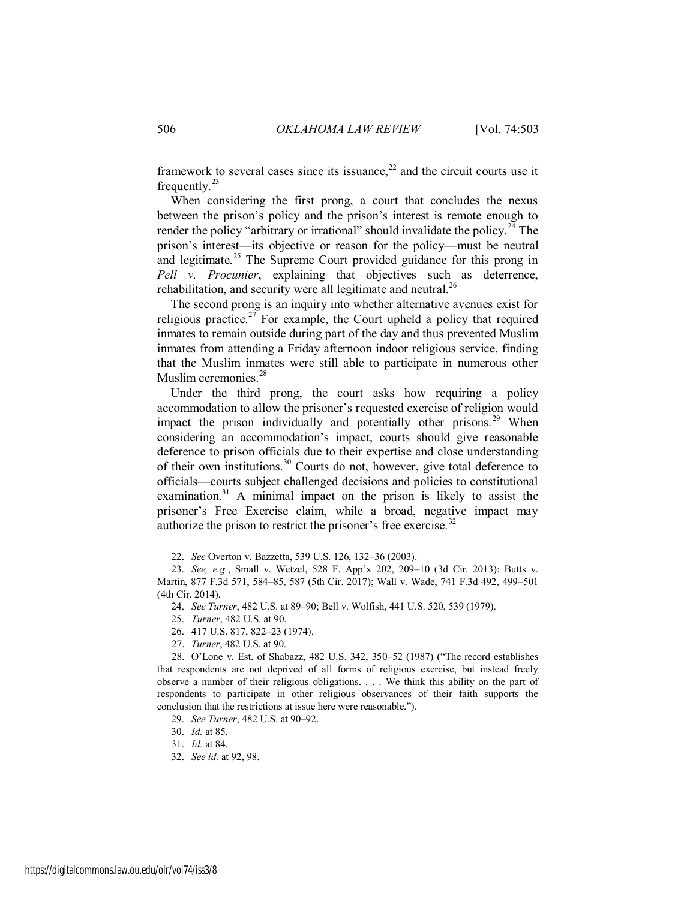framework to several cases since its issuance,  $2^2$  and the circuit courts use it frequently. $^{23}$ 

When considering the first prong, a court that concludes the nexus between the prison's policy and the prison's interest is remote enough to render the policy "arbitrary or irrational" should invalidate the policy.<sup>24</sup> The prison's interest—its objective or reason for the policy—must be neutral and legitimate.<sup>25</sup> The Supreme Court provided guidance for this prong in *Pell v. Procunier*, explaining that objectives such as deterrence, rehabilitation, and security were all legitimate and neutral. $^{26}$ 

The second prong is an inquiry into whether alternative avenues exist for religious practice.<sup>27</sup> For example, the Court upheld a policy that required inmates to remain outside during part of the day and thus prevented Muslim inmates from attending a Friday afternoon indoor religious service, finding that the Muslim inmates were still able to participate in numerous other Muslim ceremonies.<sup>28</sup>

Under the third prong, the court asks how requiring a policy accommodation to allow the prisoner's requested exercise of religion would impact the prison individually and potentially other prisons.<sup>29</sup> When considering an accommodation's impact, courts should give reasonable deference to prison officials due to their expertise and close understanding of their own institutions.<sup>30</sup> Courts do not, however, give total deference to officials—courts subject challenged decisions and policies to constitutional examination.<sup>31</sup> A minimal impact on the prison is likely to assist the prisoner's Free Exercise claim, while a broad, negative impact may authorize the prison to restrict the prisoner's free exercise. $32$ 

<sup>22.</sup> *See* Overton v. Bazzetta, 539 U.S. 126, 132–36 (2003).

<sup>23.</sup> *See, e.g.*, Small v. Wetzel, 528 F. App'x 202, 209–10 (3d Cir. 2013); Butts v. Martin, 877 F.3d 571, 584–85, 587 (5th Cir. 2017); Wall v. Wade, 741 F.3d 492, 499–501 (4th Cir. 2014).

<sup>24.</sup> *See Turner*, 482 U.S. at 89–90; Bell v. Wolfish, 441 U.S. 520, 539 (1979).

<sup>25.</sup> *Turner*, 482 U.S. at 90.

<sup>26. 417</sup> U.S. 817, 822–23 (1974).

<sup>27.</sup> *Turner*, 482 U.S. at 90.

<sup>28.</sup> O'Lone v. Est. of Shabazz, 482 U.S. 342, 350–52 (1987) ("The record establishes that respondents are not deprived of all forms of religious exercise, but instead freely observe a number of their religious obligations. . . . We think this ability on the part of respondents to participate in other religious observances of their faith supports the conclusion that the restrictions at issue here were reasonable.").

<sup>29.</sup> *See Turner*, 482 U.S. at 90–92.

<sup>30.</sup> *Id.* at 85.

<sup>31.</sup> *Id.* at 84.

<sup>32.</sup> *See id.* at 92, 98.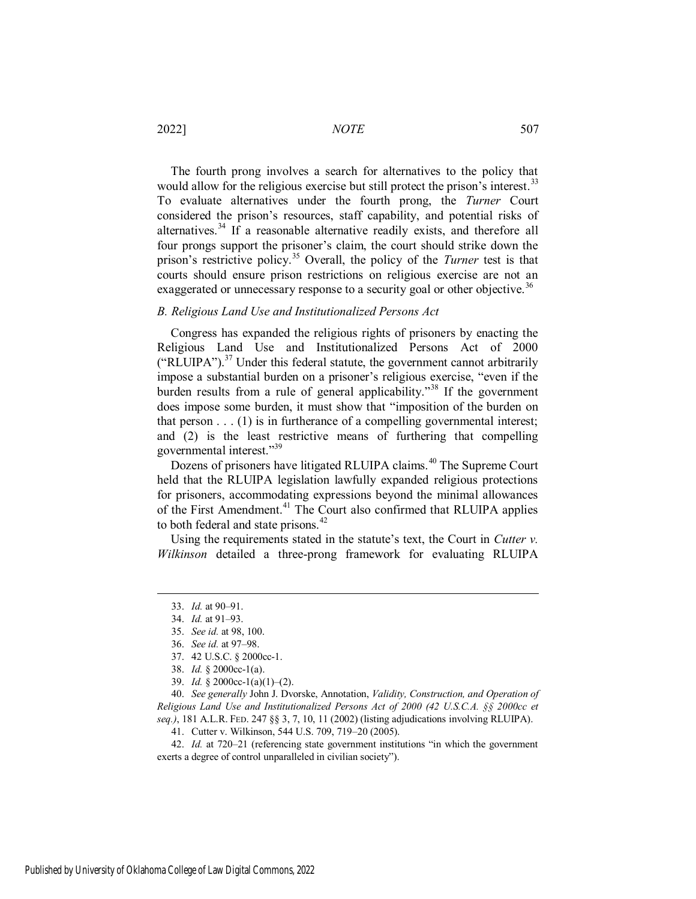2022] *NOTE* 507

The fourth prong involves a search for alternatives to the policy that would allow for the religious exercise but still protect the prison's interest.<sup>33</sup> To evaluate alternatives under the fourth prong, the *Turner* Court considered the prison's resources, staff capability, and potential risks of alternatives.<sup>34</sup> If a reasonable alternative readily exists, and therefore all four prongs support the prisoner's claim, the court should strike down the prison's restrictive policy.<sup>35</sup> Overall, the policy of the *Turner* test is that courts should ensure prison restrictions on religious exercise are not an exaggerated or unnecessary response to a security goal or other objective.<sup>36</sup>

#### *B. Religious Land Use and Institutionalized Persons Act*

Congress has expanded the religious rights of prisoners by enacting the Religious Land Use and Institutionalized Persons Act of 2000 ("RLUIPA").<sup>37</sup> Under this federal statute, the government cannot arbitrarily impose a substantial burden on a prisoner's religious exercise, "even if the burden results from a rule of general applicability.<sup>38</sup> If the government does impose some burden, it must show that "imposition of the burden on that person . . . (1) is in furtherance of a compelling governmental interest; and (2) is the least restrictive means of furthering that compelling governmental interest."<sup>39</sup>

Dozens of prisoners have litigated RLUIPA claims.<sup>40</sup> The Supreme Court held that the RLUIPA legislation lawfully expanded religious protections for prisoners, accommodating expressions beyond the minimal allowances of the First Amendment.<sup>41</sup> The Court also confirmed that RLUIPA applies to both federal and state prisons.<sup>42</sup>

Using the requirements stated in the statute's text, the Court in *Cutter v. Wilkinson* detailed a three-prong framework for evaluating RLUIPA

 $\overline{a}$ 

40. *See generally* John J. Dvorske, Annotation, *Validity, Construction, and Operation of Religious Land Use and Institutionalized Persons Act of 2000 (42 U.S.C.A. §§ 2000cc et seq.)*, 181 A.L.R. FED. 247 §§ 3, 7, 10, 11 (2002) (listing adjudications involving RLUIPA).

41. Cutter v. Wilkinson, 544 U.S. 709, 719–20 (2005).

42. *Id.* at 720–21 (referencing state government institutions "in which the government exerts a degree of control unparalleled in civilian society").

<sup>33.</sup> *Id.* at 90–91.

<sup>34.</sup> *Id.* at 91–93.

<sup>35.</sup> *See id.* at 98, 100.

<sup>36.</sup> *See id.* at 97–98.

<sup>37. 42</sup> U.S.C. § 2000cc-1.

<sup>38.</sup> *Id.* § 2000cc-1(a).

<sup>39.</sup> *Id.* § 2000cc-1(a)(1)–(2).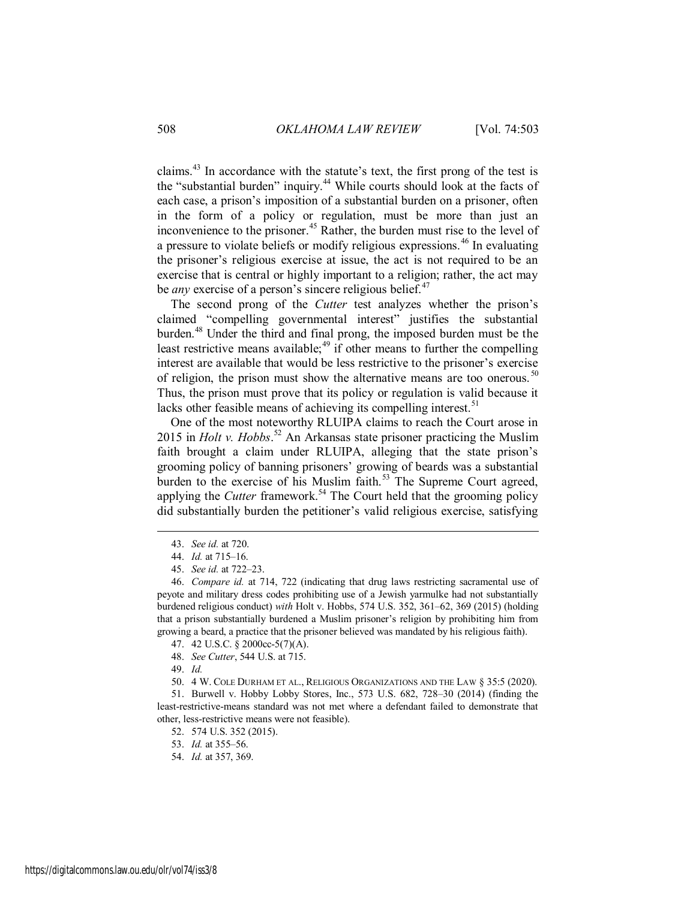claims.<sup>43</sup> In accordance with the statute's text, the first prong of the test is the "substantial burden" inquiry.<sup>44</sup> While courts should look at the facts of each case, a prison's imposition of a substantial burden on a prisoner, often in the form of a policy or regulation, must be more than just an inconvenience to the prisoner.<sup>45</sup> Rather, the burden must rise to the level of a pressure to violate beliefs or modify religious expressions.<sup>46</sup> In evaluating the prisoner's religious exercise at issue, the act is not required to be an exercise that is central or highly important to a religion; rather, the act may be *any* exercise of a person's sincere religious belief.<sup>47</sup>

The second prong of the *Cutter* test analyzes whether the prison's claimed "compelling governmental interest" justifies the substantial burden.<sup>48</sup> Under the third and final prong, the imposed burden must be the least restrictive means available;<sup>49</sup> if other means to further the compelling interest are available that would be less restrictive to the prisoner's exercise of religion, the prison must show the alternative means are too onerous.  $50$ Thus, the prison must prove that its policy or regulation is valid because it lacks other feasible means of achieving its compelling interest.<sup>51</sup>

One of the most noteworthy RLUIPA claims to reach the Court arose in 2015 in *Holt v. Hobbs*. <sup>52</sup> An Arkansas state prisoner practicing the Muslim faith brought a claim under RLUIPA, alleging that the state prison's grooming policy of banning prisoners' growing of beards was a substantial burden to the exercise of his Muslim faith. $53$  The Supreme Court agreed, applying the *Cutter* framework.<sup>54</sup> The Court held that the grooming policy did substantially burden the petitioner's valid religious exercise, satisfying

<sup>43.</sup> *See id.* at 720.

<sup>44.</sup> *Id.* at 715–16.

<sup>45.</sup> *See id.* at 722–23.

<sup>46.</sup> *Compare id.* at 714, 722 (indicating that drug laws restricting sacramental use of peyote and military dress codes prohibiting use of a Jewish yarmulke had not substantially burdened religious conduct) *with* Holt v. Hobbs, 574 U.S. 352, 361–62, 369 (2015) (holding that a prison substantially burdened a Muslim prisoner's religion by prohibiting him from growing a beard, a practice that the prisoner believed was mandated by his religious faith).

<sup>47. 42</sup> U.S.C. § 2000cc-5(7)(A).

<sup>48.</sup> *See Cutter*, 544 U.S. at 715.

<sup>49.</sup> *Id.*

<sup>50. 4</sup> W. COLE DURHAM ET AL., RELIGIOUS ORGANIZATIONS AND THE LAW § 35:5 (2020).

<sup>51.</sup> Burwell v. Hobby Lobby Stores, Inc., 573 U.S. 682, 728–30 (2014) (finding the least-restrictive-means standard was not met where a defendant failed to demonstrate that other, less-restrictive means were not feasible).

<sup>52. 574</sup> U.S. 352 (2015).

<sup>53.</sup> *Id.* at 355–56.

<sup>54.</sup> *Id.* at 357, 369.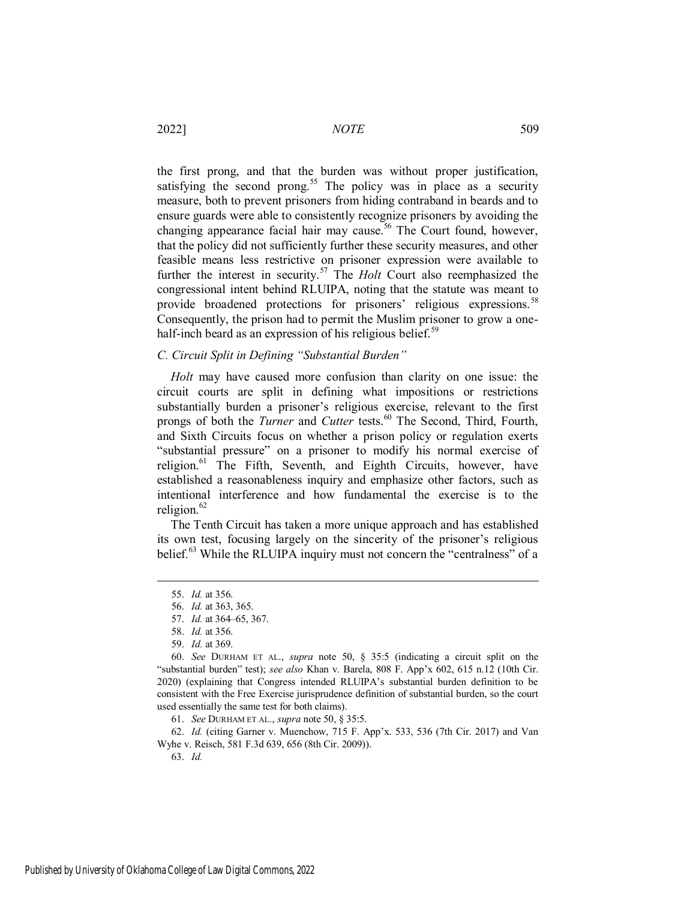the first prong, and that the burden was without proper justification, satisfying the second prong.<sup>55</sup> The policy was in place as a security measure, both to prevent prisoners from hiding contraband in beards and to ensure guards were able to consistently recognize prisoners by avoiding the changing appearance facial hair may cause.<sup>56</sup> The Court found, however, that the policy did not sufficiently further these security measures, and other feasible means less restrictive on prisoner expression were available to further the interest in security.<sup>57</sup> The *Holt* Court also reemphasized the congressional intent behind RLUIPA, noting that the statute was meant to provide broadened protections for prisoners' religious expressions.<sup>58</sup> Consequently, the prison had to permit the Muslim prisoner to grow a onehalf-inch beard as an expression of his religious belief. $59$ 

#### *C. Circuit Split in Defining "Substantial Burden"*

*Holt* may have caused more confusion than clarity on one issue: the circuit courts are split in defining what impositions or restrictions substantially burden a prisoner's religious exercise, relevant to the first prongs of both the *Turner* and *Cutter* tests.<sup>60</sup> The Second, Third, Fourth, and Sixth Circuits focus on whether a prison policy or regulation exerts "substantial pressure" on a prisoner to modify his normal exercise of religion.<sup>61</sup> The Fifth, Seventh, and Eighth Circuits, however, have established a reasonableness inquiry and emphasize other factors, such as intentional interference and how fundamental the exercise is to the religion.<sup>62</sup>

The Tenth Circuit has taken a more unique approach and has established its own test, focusing largely on the sincerity of the prisoner's religious belief.<sup>63</sup> While the RLUIPA inquiry must not concern the "centralness" of a

 $\overline{a}$ 

61. *See* DURHAM ET AL., *supra* note 50, § 35:5.

62. *Id.* (citing Garner v. Muenchow, 715 F. App'x. 533, 536 (7th Cir. 2017) and Van Wyhe v. Reisch, 581 F.3d 639, 656 (8th Cir. 2009)).

63. *Id.*

<sup>55.</sup> *Id.* at 356.

<sup>56.</sup> *Id.* at 363, 365.

<sup>57.</sup> *Id.* at 364–65, 367.

<sup>58.</sup> *Id.* at 356.

<sup>59.</sup> *Id.* at 369.

<sup>60.</sup> *See* DURHAM ET AL., *supra* note 50, § 35:5 (indicating a circuit split on the "substantial burden" test); *see also* Khan v. Barela, 808 F. App'x 602, 615 n.12 (10th Cir. 2020) (explaining that Congress intended RLUIPA's substantial burden definition to be consistent with the Free Exercise jurisprudence definition of substantial burden, so the court used essentially the same test for both claims).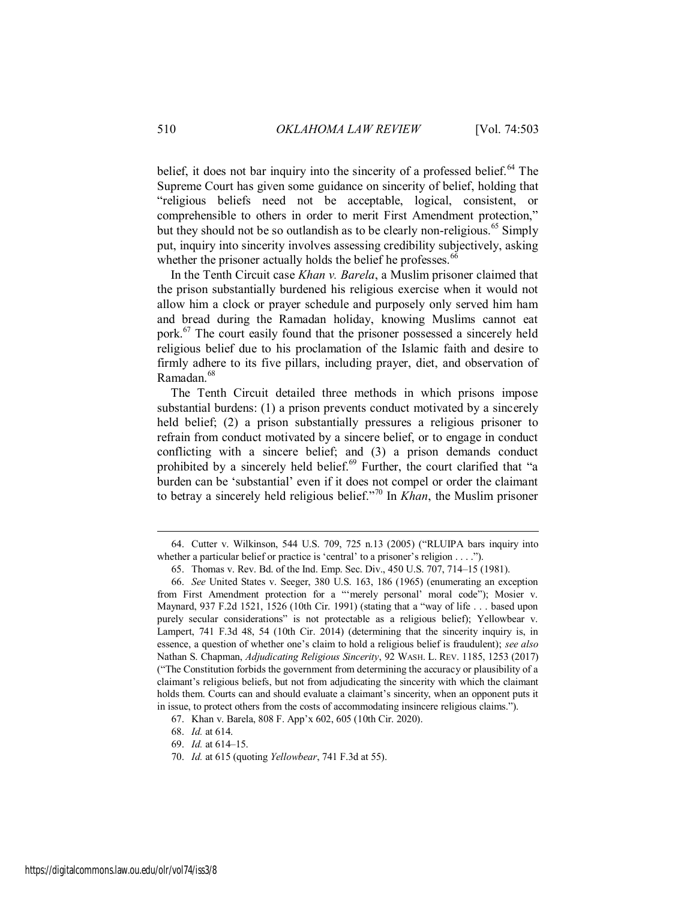belief, it does not bar inquiry into the sincerity of a professed belief.<sup>64</sup> The Supreme Court has given some guidance on sincerity of belief, holding that "religious beliefs need not be acceptable, logical, consistent, or comprehensible to others in order to merit First Amendment protection," but they should not be so outlandish as to be clearly non-religious.<sup>65</sup> Simply put, inquiry into sincerity involves assessing credibility subjectively, asking whether the prisoner actually holds the belief he professes.  $66$ 

In the Tenth Circuit case *Khan v. Barela*, a Muslim prisoner claimed that the prison substantially burdened his religious exercise when it would not allow him a clock or prayer schedule and purposely only served him ham and bread during the Ramadan holiday, knowing Muslims cannot eat pork.<sup>67</sup> The court easily found that the prisoner possessed a sincerely held religious belief due to his proclamation of the Islamic faith and desire to firmly adhere to its five pillars, including prayer, diet, and observation of Ramadan.<sup>68</sup>

The Tenth Circuit detailed three methods in which prisons impose substantial burdens: (1) a prison prevents conduct motivated by a sincerely held belief; (2) a prison substantially pressures a religious prisoner to refrain from conduct motivated by a sincere belief, or to engage in conduct conflicting with a sincere belief; and (3) a prison demands conduct prohibited by a sincerely held belief. $69$  Further, the court clarified that "a burden can be 'substantial' even if it does not compel or order the claimant to betray a sincerely held religious belief."<sup>70</sup> In *Khan*, the Muslim prisoner

<sup>64.</sup> Cutter v. Wilkinson, 544 U.S. 709, 725 n.13 (2005) ("RLUIPA bars inquiry into whether a particular belief or practice is 'central' to a prisoner's religion . . . .").

<sup>65.</sup> Thomas v. Rev. Bd. of the Ind. Emp. Sec. Div., 450 U.S. 707, 714–15 (1981).

<sup>66.</sup> *See* United States v. Seeger, 380 U.S. 163, 186 (1965) (enumerating an exception from First Amendment protection for a "'merely personal' moral code"); Mosier v. Maynard, 937 F.2d 1521, 1526 (10th Cir. 1991) (stating that a "way of life . . . based upon purely secular considerations" is not protectable as a religious belief); Yellowbear v. Lampert, 741 F.3d 48, 54 (10th Cir. 2014) (determining that the sincerity inquiry is, in essence, a question of whether one's claim to hold a religious belief is fraudulent); *see also* Nathan S. Chapman, *Adjudicating Religious Sincerity*, 92 WASH. L. REV. 1185, 1253 (2017) ("The Constitution forbids the government from determining the accuracy or plausibility of a claimant's religious beliefs, but not from adjudicating the sincerity with which the claimant holds them. Courts can and should evaluate a claimant's sincerity, when an opponent puts it in issue, to protect others from the costs of accommodating insincere religious claims.").

<sup>67.</sup> Khan v. Barela, 808 F. App'x 602, 605 (10th Cir. 2020).

<sup>68.</sup> *Id.* at 614.

<sup>69.</sup> *Id.* at 614–15.

<sup>70.</sup> *Id.* at 615 (quoting *Yellowbear*, 741 F.3d at 55).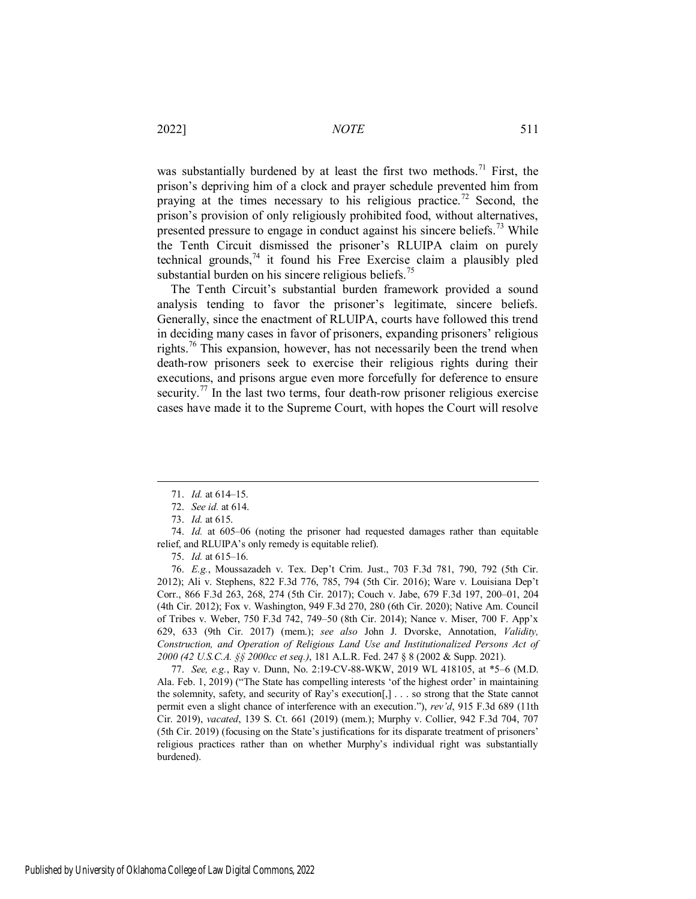was substantially burdened by at least the first two methods.<sup>71</sup> First, the prison's depriving him of a clock and prayer schedule prevented him from praying at the times necessary to his religious practice.<sup>72</sup> Second, the prison's provision of only religiously prohibited food, without alternatives, presented pressure to engage in conduct against his sincere beliefs.<sup>73</sup> While the Tenth Circuit dismissed the prisoner's RLUIPA claim on purely technical grounds, $74$  it found his Free Exercise claim a plausibly pled substantial burden on his sincere religious beliefs.<sup>75</sup>

The Tenth Circuit's substantial burden framework provided a sound analysis tending to favor the prisoner's legitimate, sincere beliefs. Generally, since the enactment of RLUIPA, courts have followed this trend in deciding many cases in favor of prisoners, expanding prisoners' religious rights.<sup>76</sup> This expansion, however, has not necessarily been the trend when death-row prisoners seek to exercise their religious rights during their executions, and prisons argue even more forcefully for deference to ensure security.<sup>77</sup> In the last two terms, four death-row prisoner religious exercise cases have made it to the Supreme Court, with hopes the Court will resolve

 $\overline{a}$ 

76. *E.g.*, Moussazadeh v. Tex. Dep't Crim. Just., 703 F.3d 781, 790, 792 (5th Cir. 2012); Ali v. Stephens, 822 F.3d 776, 785, 794 (5th Cir. 2016); Ware v. Louisiana Dep't Corr., 866 F.3d 263, 268, 274 (5th Cir. 2017); Couch v. Jabe, 679 F.3d 197, 200–01, 204 (4th Cir. 2012); Fox v. Washington, 949 F.3d 270, 280 (6th Cir. 2020); Native Am. Council of Tribes v. Weber, 750 F.3d 742, 749–50 (8th Cir. 2014); Nance v. Miser, 700 F. App'x 629, 633 (9th Cir. 2017) (mem.); *see also* John J. Dvorske, Annotation, *Validity, Construction, and Operation of Religious Land Use and Institutionalized Persons Act of 2000 (42 U.S.C.A. §§ 2000cc et seq.)*, 181 A.L.R. Fed. 247 § 8 (2002 & Supp. 2021).

77. *See, e.g.*, Ray v. Dunn, No. 2:19-CV-88-WKW, 2019 WL 418105, at \*5–6 (M.D. Ala. Feb. 1, 2019) ("The State has compelling interests 'of the highest order' in maintaining the solemnity, safety, and security of Ray's execution[,] . . . so strong that the State cannot permit even a slight chance of interference with an execution."), *rev'd*, 915 F.3d 689 (11th Cir. 2019), *vacated*, 139 S. Ct. 661 (2019) (mem.); Murphy v. Collier, 942 F.3d 704, 707 (5th Cir. 2019) (focusing on the State's justifications for its disparate treatment of prisoners' religious practices rather than on whether Murphy's individual right was substantially burdened).

<sup>71.</sup> *Id.* at 614–15.

<sup>72.</sup> *See id.* at 614.

<sup>73.</sup> *Id.* at 615.

<sup>74.</sup> *Id.* at 605–06 (noting the prisoner had requested damages rather than equitable relief, and RLUIPA's only remedy is equitable relief).

<sup>75.</sup> *Id.* at 615–16.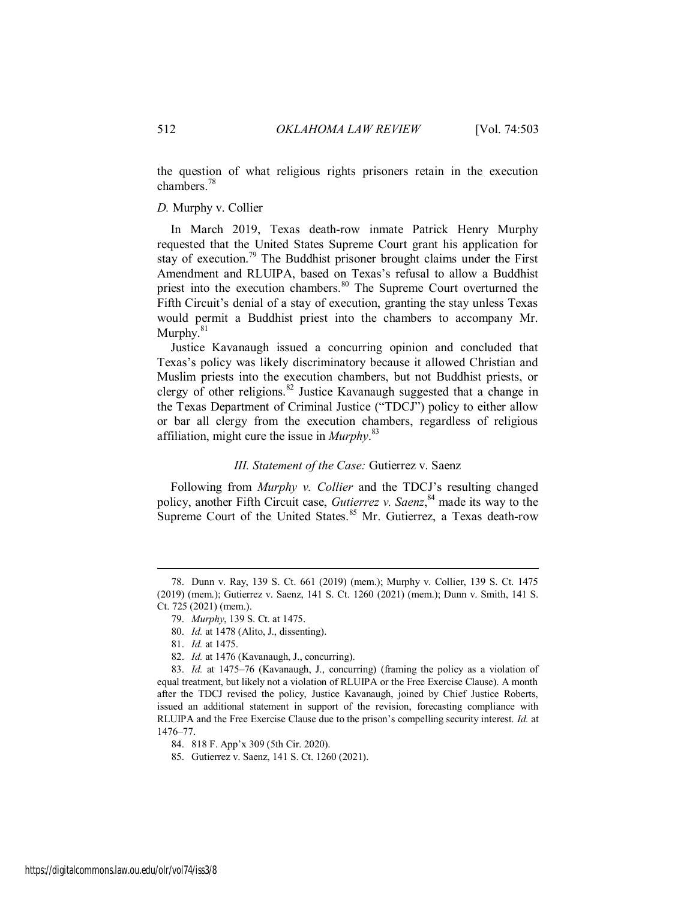the question of what religious rights prisoners retain in the execution chambers.<sup>78</sup>

#### *D.* Murphy v. Collier

In March 2019, Texas death-row inmate Patrick Henry Murphy requested that the United States Supreme Court grant his application for stay of execution.<sup>79</sup> The Buddhist prisoner brought claims under the First Amendment and RLUIPA, based on Texas's refusal to allow a Buddhist priest into the execution chambers.<sup>80</sup> The Supreme Court overturned the Fifth Circuit's denial of a stay of execution, granting the stay unless Texas would permit a Buddhist priest into the chambers to accompany Mr. Murphy. $81$ 

Justice Kavanaugh issued a concurring opinion and concluded that Texas's policy was likely discriminatory because it allowed Christian and Muslim priests into the execution chambers, but not Buddhist priests, or clergy of other religions.<sup>82</sup> Justice Kavanaugh suggested that a change in the Texas Department of Criminal Justice ("TDCJ") policy to either allow or bar all clergy from the execution chambers, regardless of religious affiliation, might cure the issue in *Murphy*. 83

#### *III. Statement of the Case:* Gutierrez v. Saenz

Following from *Murphy v. Collier* and the TDCJ's resulting changed policy, another Fifth Circuit case, *Gutierrez v. Saenz*,<sup>84</sup> made its way to the Supreme Court of the United States.<sup>85</sup> Mr. Gutierrez, a Texas death-row

<sup>78.</sup> Dunn v. Ray, 139 S. Ct. 661 (2019) (mem.); Murphy v. Collier, 139 S. Ct. 1475 (2019) (mem.); Gutierrez v. Saenz, 141 S. Ct. 1260 (2021) (mem.); Dunn v. Smith, 141 S. Ct. 725 (2021) (mem.).

<sup>79.</sup> *Murphy*, 139 S. Ct. at 1475.

<sup>80.</sup> *Id.* at 1478 (Alito, J., dissenting).

<sup>81.</sup> *Id.* at 1475.

<sup>82.</sup> *Id.* at 1476 (Kavanaugh, J., concurring).

<sup>83.</sup> *Id.* at 1475–76 (Kavanaugh, J., concurring) (framing the policy as a violation of equal treatment, but likely not a violation of RLUIPA or the Free Exercise Clause). A month after the TDCJ revised the policy, Justice Kavanaugh, joined by Chief Justice Roberts, issued an additional statement in support of the revision, forecasting compliance with RLUIPA and the Free Exercise Clause due to the prison's compelling security interest. *Id.* at 1476–77.

<sup>84.</sup> 818 F. App'x 309 (5th Cir. 2020).

<sup>85.</sup> Gutierrez v. Saenz, 141 S. Ct. 1260 (2021).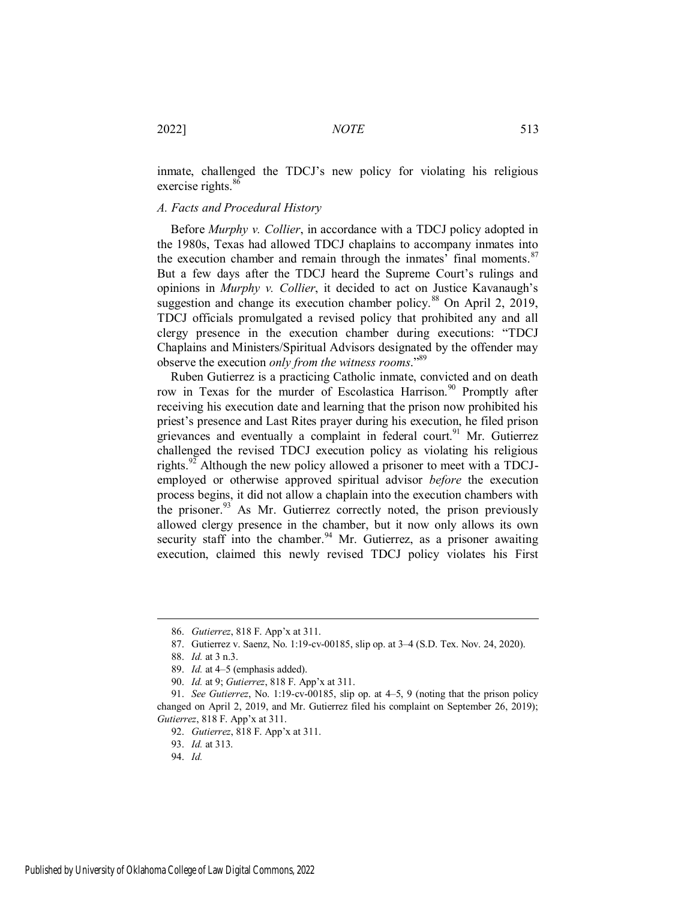inmate, challenged the TDCJ's new policy for violating his religious exercise rights. $86$ 

#### *A. Facts and Procedural History*

Before *Murphy v. Collier*, in accordance with a TDCJ policy adopted in the 1980s, Texas had allowed TDCJ chaplains to accompany inmates into the execution chamber and remain through the inmates' final moments.<sup>87</sup> But a few days after the TDCJ heard the Supreme Court's rulings and opinions in *Murphy v. Collier*, it decided to act on Justice Kavanaugh's suggestion and change its execution chamber policy.<sup>88</sup> On April 2, 2019, TDCJ officials promulgated a revised policy that prohibited any and all clergy presence in the execution chamber during executions: "TDCJ Chaplains and Ministers/Spiritual Advisors designated by the offender may observe the execution *only from the witness rooms*."<sup>89</sup>

Ruben Gutierrez is a practicing Catholic inmate, convicted and on death row in Texas for the murder of Escolastica Harrison.<sup>90</sup> Promptly after receiving his execution date and learning that the prison now prohibited his priest's presence and Last Rites prayer during his execution, he filed prison grievances and eventually a complaint in federal court.<sup>91</sup> Mr. Gutierrez challenged the revised TDCJ execution policy as violating his religious rights.<sup>92</sup> Although the new policy allowed a prisoner to meet with a TDCJemployed or otherwise approved spiritual advisor *before* the execution process begins, it did not allow a chaplain into the execution chambers with the prisoner. $93$ <sup>5</sup> As Mr. Gutierrez correctly noted, the prison previously allowed clergy presence in the chamber, but it now only allows its own security staff into the chamber.<sup>94</sup> Mr. Gutierrez, as a prisoner awaiting execution, claimed this newly revised TDCJ policy violates his First

<sup>86.</sup> *Gutierrez*, 818 F. App'x at 311.

<sup>87.</sup> Gutierrez v. Saenz, No. 1:19-cv-00185, slip op. at 3–4 (S.D. Tex. Nov. 24, 2020).

<sup>88.</sup> *Id.* at 3 n.3.

<sup>89.</sup> *Id.* at 4–5 (emphasis added).

<sup>90.</sup> *Id.* at 9; *Gutierrez*, 818 F. App'x at 311.

<sup>91.</sup> *See Gutierrez*, No. 1:19-cv-00185, slip op. at 4–5, 9 (noting that the prison policy changed on April 2, 2019, and Mr. Gutierrez filed his complaint on September 26, 2019); *Gutierrez*, 818 F. App'x at 311.

<sup>92.</sup> *Gutierrez*, 818 F. App'x at 311.

<sup>93.</sup> *Id.* at 313.

<sup>94.</sup> *Id.*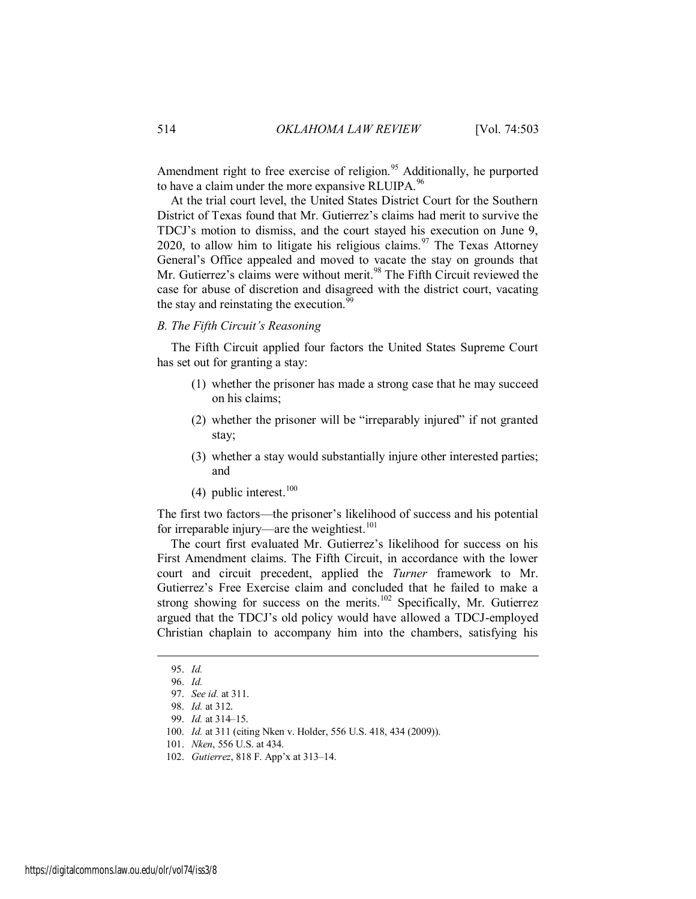Amendment right to free exercise of religion.<sup>95</sup> Additionally, he purported to have a claim under the more expansive RLUIPA. $96$ 

At the trial court level, the United States District Court for the Southern District of Texas found that Mr. Gutierrez's claims had merit to survive the TDCJ's motion to dismiss, and the court stayed his execution on June 9, 2020, to allow him to litigate his religious claims.<sup>97</sup> The Texas Attorney General's Office appealed and moved to vacate the stay on grounds that Mr. Gutierrez's claims were without merit.<sup>98</sup> The Fifth Circuit reviewed the case for abuse of discretion and disagreed with the district court, vacating the stay and reinstating the execution.<sup>99</sup>

#### *B. The Fifth Circuit's Reasoning*

The Fifth Circuit applied four factors the United States Supreme Court has set out for granting a stay:

- (1) whether the prisoner has made a strong case that he may succeed on his claims;
- (2) whether the prisoner will be "irreparably injured" if not granted stay;
- (3) whether a stay would substantially injure other interested parties; and
- (4) public interest. $100$

The first two factors—the prisoner's likelihood of success and his potential for irreparable injury—are the weightiest.<sup>101</sup>

The court first evaluated Mr. Gutierrez's likelihood for success on his First Amendment claims. The Fifth Circuit, in accordance with the lower court and circuit precedent, applied the *Turner* framework to Mr. Gutierrez's Free Exercise claim and concluded that he failed to make a strong showing for success on the merits.<sup>102</sup> Specifically, Mr. Gutierrez argued that the TDCJ's old policy would have allowed a TDCJ-employed Christian chaplain to accompany him into the chambers, satisfying his

<sup>95.</sup> *Id.*

<sup>96.</sup> *Id.*

<sup>97.</sup> *See id.* at 311.

<sup>98.</sup> *Id.* at 312.

<sup>99.</sup> *Id.* at 314–15.

<sup>100.</sup> *Id.* at 311 (citing Nken v. Holder, 556 U.S. 418, 434 (2009)).

<sup>101.</sup> *Nken*, 556 U.S. at 434.

<sup>102.</sup> *Gutierrez*, 818 F. App'x at 313–14.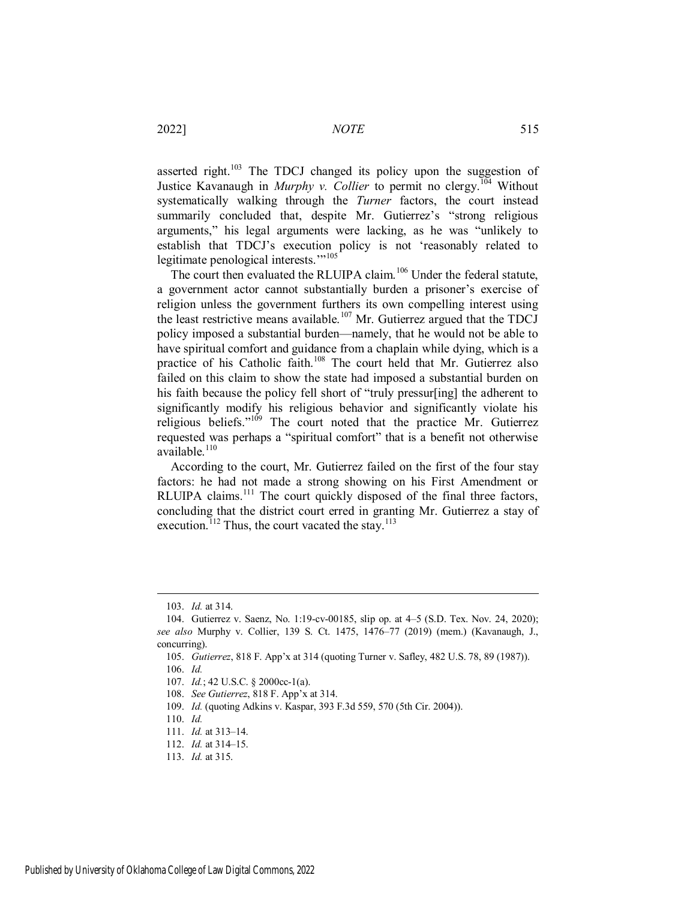asserted right.<sup>103</sup> The TDCJ changed its policy upon the suggestion of Justice Kavanaugh in *Murphy v. Collier* to permit no clergy.<sup>104</sup> Without systematically walking through the *Turner* factors, the court instead summarily concluded that, despite Mr. Gutierrez's "strong religious arguments," his legal arguments were lacking, as he was "unlikely to establish that TDCJ's execution policy is not 'reasonably related to legitimate penological interests."<sup>105</sup>

The court then evaluated the RLUIPA claim.<sup>106</sup> Under the federal statute, a government actor cannot substantially burden a prisoner's exercise of religion unless the government furthers its own compelling interest using the least restrictive means available.<sup>107</sup> Mr. Gutierrez argued that the TDCJ policy imposed a substantial burden—namely, that he would not be able to have spiritual comfort and guidance from a chaplain while dying, which is a practice of his Catholic faith.<sup>108</sup> The court held that Mr. Gutierrez also failed on this claim to show the state had imposed a substantial burden on his faith because the policy fell short of "truly pressur[ing] the adherent to significantly modify his religious behavior and significantly violate his religious beliefs." $109$  The court noted that the practice Mr. Gutierrez requested was perhaps a "spiritual comfort" that is a benefit not otherwise available.<sup>110</sup>

According to the court, Mr. Gutierrez failed on the first of the four stay factors: he had not made a strong showing on his First Amendment or RLUIPA claims.<sup>111</sup> The court quickly disposed of the final three factors, concluding that the district court erred in granting Mr. Gutierrez a stay of execution.<sup>112</sup> Thus, the court vacated the stay.<sup>113</sup>

<sup>103.</sup> *Id.* at 314.

<sup>104.</sup> Gutierrez v. Saenz, No. 1:19-cv-00185, slip op. at 4–5 (S.D. Tex. Nov. 24, 2020); *see also* Murphy v. Collier, 139 S. Ct. 1475, 1476–77 (2019) (mem.) (Kavanaugh, J., concurring).

<sup>105.</sup> *Gutierrez*, 818 F. App'x at 314 (quoting Turner v. Safley, 482 U.S. 78, 89 (1987)). 106. *Id.*

<sup>107.</sup> *Id.*; 42 U.S.C. § 2000cc-1(a).

<sup>108.</sup> *See Gutierrez*, 818 F. App'x at 314.

<sup>109.</sup> *Id.* (quoting Adkins v. Kaspar, 393 F.3d 559, 570 (5th Cir. 2004)).

<sup>110.</sup> *Id.*

<sup>111.</sup> *Id.* at 313–14.

<sup>112.</sup> *Id.* at 314–15.

<sup>113.</sup> *Id.* at 315.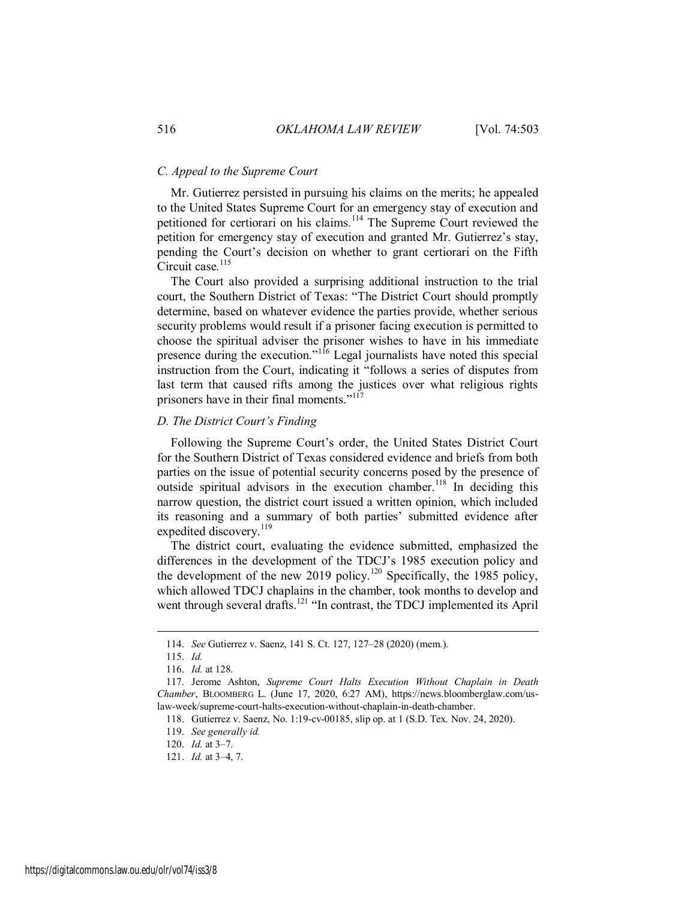#### *C. Appeal to the Supreme Court*

Mr. Gutierrez persisted in pursuing his claims on the merits; he appealed to the United States Supreme Court for an emergency stay of execution and petitioned for certiorari on his claims.<sup>114</sup> The Supreme Court reviewed the petition for emergency stay of execution and granted Mr. Gutierrez's stay, pending the Court's decision on whether to grant certiorari on the Fifth Circuit case.<sup>115</sup>

The Court also provided a surprising additional instruction to the trial court, the Southern District of Texas: "The District Court should promptly determine, based on whatever evidence the parties provide, whether serious security problems would result if a prisoner facing execution is permitted to choose the spiritual adviser the prisoner wishes to have in his immediate presence during the execution."<sup>116</sup> Legal journalists have noted this special instruction from the Court, indicating it "follows a series of disputes from last term that caused rifts among the justices over what religious rights prisoners have in their final moments."<sup>117</sup>

#### *D. The District Court's Finding*

Following the Supreme Court's order, the United States District Court for the Southern District of Texas considered evidence and briefs from both parties on the issue of potential security concerns posed by the presence of outside spiritual advisors in the execution chamber.<sup>118</sup> In deciding this narrow question, the district court issued a written opinion, which included its reasoning and a summary of both parties' submitted evidence after expedited discovery.<sup>119</sup>

The district court, evaluating the evidence submitted, emphasized the differences in the development of the TDCJ's 1985 execution policy and the development of the new 2019 policy.<sup>120</sup> Specifically, the 1985 policy, which allowed TDCJ chaplains in the chamber, took months to develop and went through several drafts.<sup>121</sup> "In contrast, the TDCJ implemented its April

<sup>114.</sup> *See* Gutierrez v. Saenz, 141 S. Ct. 127, 127–28 (2020) (mem.).

<sup>115.</sup> *Id.*

<sup>116.</sup> *Id.* at 128.

<sup>117.</sup> Jerome Ashton, *Supreme Court Halts Execution Without Chaplain in Death Chamber*, BLOOMBERG L. (June 17, 2020, 6:27 AM), https://news.bloomberglaw.com/uslaw-week/supreme-court-halts-execution-without-chaplain-in-death-chamber.

<sup>118.</sup> Gutierrez v. Saenz, No. 1:19-cv-00185, slip op. at 1 (S.D. Tex. Nov. 24, 2020).

<sup>119.</sup> *See generally id.*

<sup>120.</sup> *Id.* at 3–7.

<sup>121.</sup> *Id.* at 3–4, 7.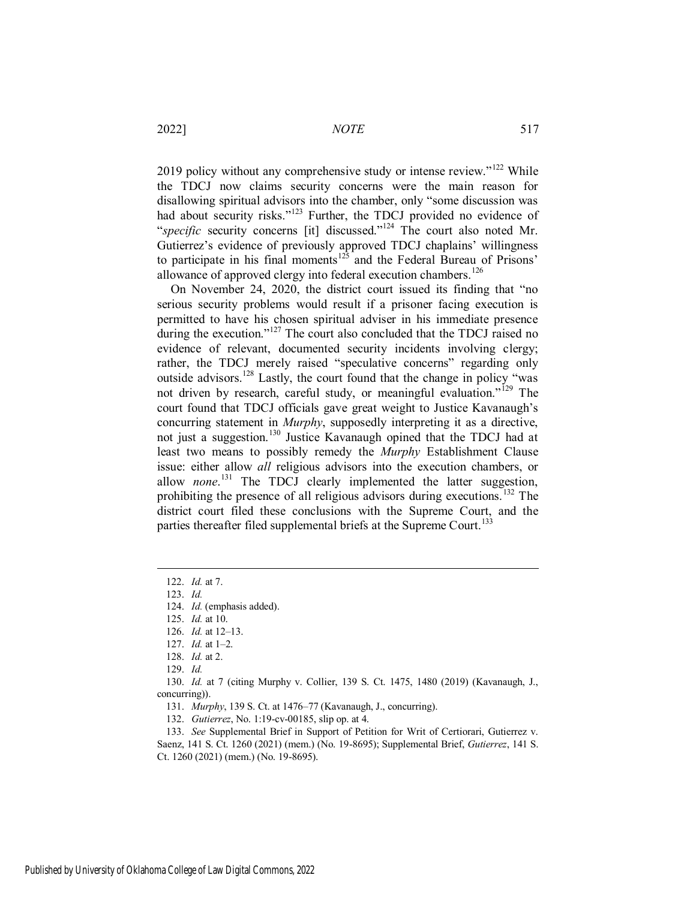2019 policy without any comprehensive study or intense review."<sup>122</sup> While the TDCJ now claims security concerns were the main reason for disallowing spiritual advisors into the chamber, only "some discussion was had about security risks."<sup>123</sup> Further, the TDCJ provided no evidence of "*specific* security concerns [it] discussed."<sup>124</sup> The court also noted Mr. Gutierrez's evidence of previously approved TDCJ chaplains' willingness to participate in his final moments<sup>125</sup> and the Federal Bureau of Prisons' allowance of approved clergy into federal execution chambers.<sup>126</sup>

On November 24, 2020, the district court issued its finding that "no serious security problems would result if a prisoner facing execution is permitted to have his chosen spiritual adviser in his immediate presence during the execution."<sup>127</sup> The court also concluded that the TDCJ raised no evidence of relevant, documented security incidents involving clergy; rather, the TDCJ merely raised "speculative concerns" regarding only outside advisors.<sup>128</sup> Lastly, the court found that the change in policy "was not driven by research, careful study, or meaningful evaluation.<sup>"129</sup> The court found that TDCJ officials gave great weight to Justice Kavanaugh's concurring statement in *Murphy*, supposedly interpreting it as a directive, not just a suggestion.<sup>130</sup> Justice Kavanaugh opined that the TDCJ had at least two means to possibly remedy the *Murphy* Establishment Clause issue: either allow *all* religious advisors into the execution chambers, or allow *none*.<sup>131</sup> The TDCJ clearly implemented the latter suggestion, prohibiting the presence of all religious advisors during executions.<sup>132</sup> The district court filed these conclusions with the Supreme Court, and the parties thereafter filed supplemental briefs at the Supreme Court.<sup>133</sup>

 $\overline{a}$ 

130. *Id.* at 7 (citing Murphy v. Collier, 139 S. Ct. 1475, 1480 (2019) (Kavanaugh, J., concurring)).

131. *Murphy*, 139 S. Ct. at 1476–77 (Kavanaugh, J., concurring).

132. *Gutierrez*, No. 1:19-cv-00185, slip op. at 4.

133. *See* Supplemental Brief in Support of Petition for Writ of Certiorari, Gutierrez v. Saenz, 141 S. Ct. 1260 (2021) (mem.) (No. 19-8695); Supplemental Brief, *Gutierrez*, 141 S. Ct. 1260 (2021) (mem.) (No. 19-8695).

<sup>122.</sup> *Id.* at 7.

<sup>123.</sup> *Id.*

<sup>124.</sup> *Id.* (emphasis added).

<sup>125.</sup> *Id.* at 10.

<sup>126.</sup> *Id.* at 12–13.

<sup>127.</sup> *Id.* at 1–2.

<sup>128.</sup> *Id.* at 2.

<sup>129.</sup> *Id.*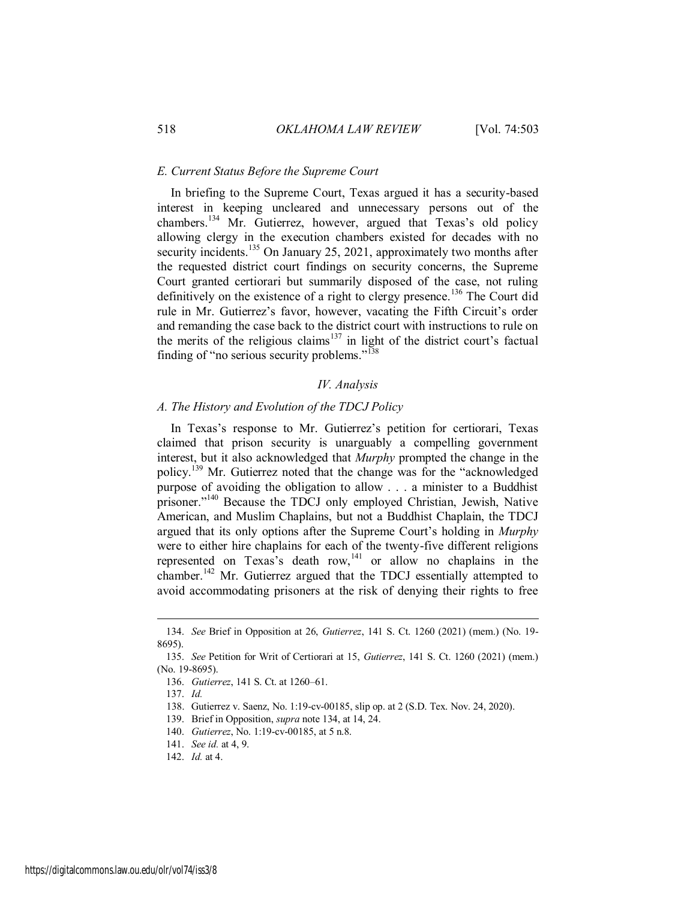#### *E. Current Status Before the Supreme Court*

In briefing to the Supreme Court, Texas argued it has a security-based interest in keeping uncleared and unnecessary persons out of the chambers.<sup>134</sup> Mr. Gutierrez, however, argued that Texas's old policy allowing clergy in the execution chambers existed for decades with no security incidents.<sup>135</sup> On January 25, 2021, approximately two months after the requested district court findings on security concerns, the Supreme Court granted certiorari but summarily disposed of the case, not ruling definitively on the existence of a right to clergy presence.<sup>136</sup> The Court did rule in Mr. Gutierrez's favor, however, vacating the Fifth Circuit's order and remanding the case back to the district court with instructions to rule on the merits of the religious claims<sup>137</sup> in light of the district court's factual finding of "no serious security problems."<sup>138</sup>

#### *IV. Analysis*

#### *A. The History and Evolution of the TDCJ Policy*

In Texas's response to Mr. Gutierrez's petition for certiorari, Texas claimed that prison security is unarguably a compelling government interest, but it also acknowledged that *Murphy* prompted the change in the policy.<sup>139</sup> Mr. Gutierrez noted that the change was for the "acknowledged purpose of avoiding the obligation to allow . . . a minister to a Buddhist prisoner."<sup>140</sup> Because the TDCJ only employed Christian, Jewish, Native American, and Muslim Chaplains, but not a Buddhist Chaplain, the TDCJ argued that its only options after the Supreme Court's holding in *Murphy* were to either hire chaplains for each of the twenty-five different religions represented on Texas's death row,<sup>141</sup> or allow no chaplains in the chamber.<sup>142</sup> Mr. Gutierrez argued that the TDCJ essentially attempted to avoid accommodating prisoners at the risk of denying their rights to free

<sup>134.</sup> *See* Brief in Opposition at 26, *Gutierrez*, 141 S. Ct. 1260 (2021) (mem.) (No. 19- 8695).

<sup>135.</sup> *See* Petition for Writ of Certiorari at 15, *Gutierrez*, 141 S. Ct. 1260 (2021) (mem.) (No. 19-8695).

<sup>136.</sup> *Gutierrez*, 141 S. Ct. at 1260–61.

<sup>137.</sup> *Id.*

<sup>138.</sup> Gutierrez v. Saenz, No. 1:19-cv-00185, slip op. at 2 (S.D. Tex. Nov. 24, 2020).

<sup>139.</sup> Brief in Opposition, *supra* note 134, at 14, 24.

<sup>140.</sup> *Gutierrez*, No. 1:19-cv-00185, at 5 n.8.

<sup>141.</sup> *See id.* at 4, 9.

<sup>142.</sup> *Id.* at 4.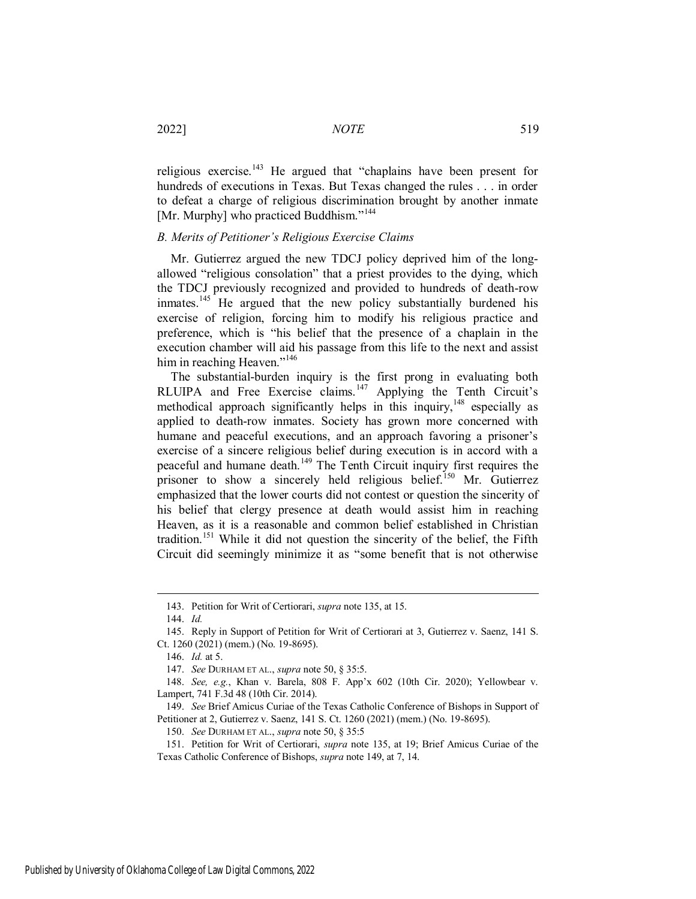2022] *NOTE* 519

religious exercise.<sup>143</sup> He argued that "chaplains have been present for hundreds of executions in Texas. But Texas changed the rules . . . in order to defeat a charge of religious discrimination brought by another inmate [Mr. Murphy] who practiced Buddhism."<sup>144</sup>

#### *B. Merits of Petitioner's Religious Exercise Claims*

Mr. Gutierrez argued the new TDCJ policy deprived him of the longallowed "religious consolation" that a priest provides to the dying, which the TDCJ previously recognized and provided to hundreds of death-row inmates.<sup>145</sup> He argued that the new policy substantially burdened his exercise of religion, forcing him to modify his religious practice and preference, which is "his belief that the presence of a chaplain in the execution chamber will aid his passage from this life to the next and assist him in reaching Heaven."<sup>146</sup>

The substantial-burden inquiry is the first prong in evaluating both RLUIPA and Free Exercise claims.<sup>147</sup> Applying the Tenth Circuit's methodical approach significantly helps in this inquiry,  $148$  especially as applied to death-row inmates. Society has grown more concerned with humane and peaceful executions, and an approach favoring a prisoner's exercise of a sincere religious belief during execution is in accord with a peaceful and humane death.<sup>149</sup> The Tenth Circuit inquiry first requires the prisoner to show a sincerely held religious belief.<sup>150</sup> Mr. Gutierrez emphasized that the lower courts did not contest or question the sincerity of his belief that clergy presence at death would assist him in reaching Heaven, as it is a reasonable and common belief established in Christian tradition.<sup>151</sup> While it did not question the sincerity of the belief, the Fifth Circuit did seemingly minimize it as "some benefit that is not otherwise

<sup>143.</sup> Petition for Writ of Certiorari, *supra* note 135, at 15.

<sup>144.</sup> *Id.*

<sup>145.</sup> Reply in Support of Petition for Writ of Certiorari at 3, Gutierrez v. Saenz, 141 S. Ct. 1260 (2021) (mem.) (No. 19-8695).

<sup>146.</sup> *Id.* at 5.

<sup>147.</sup> *See* DURHAM ET AL., *supra* note 50, § 35:5.

<sup>148.</sup> *See, e.g.*, Khan v. Barela, 808 F. App'x 602 (10th Cir. 2020); Yellowbear v. Lampert, 741 F.3d 48 (10th Cir. 2014).

<sup>149.</sup> *See* Brief Amicus Curiae of the Texas Catholic Conference of Bishops in Support of Petitioner at 2, Gutierrez v. Saenz, 141 S. Ct. 1260 (2021) (mem.) (No. 19-8695).

<sup>150.</sup> *See* DURHAM ET AL., *supra* note 50, § 35:5

<sup>151.</sup> Petition for Writ of Certiorari, *supra* note 135, at 19; Brief Amicus Curiae of the Texas Catholic Conference of Bishops, *supra* note 149, at 7, 14.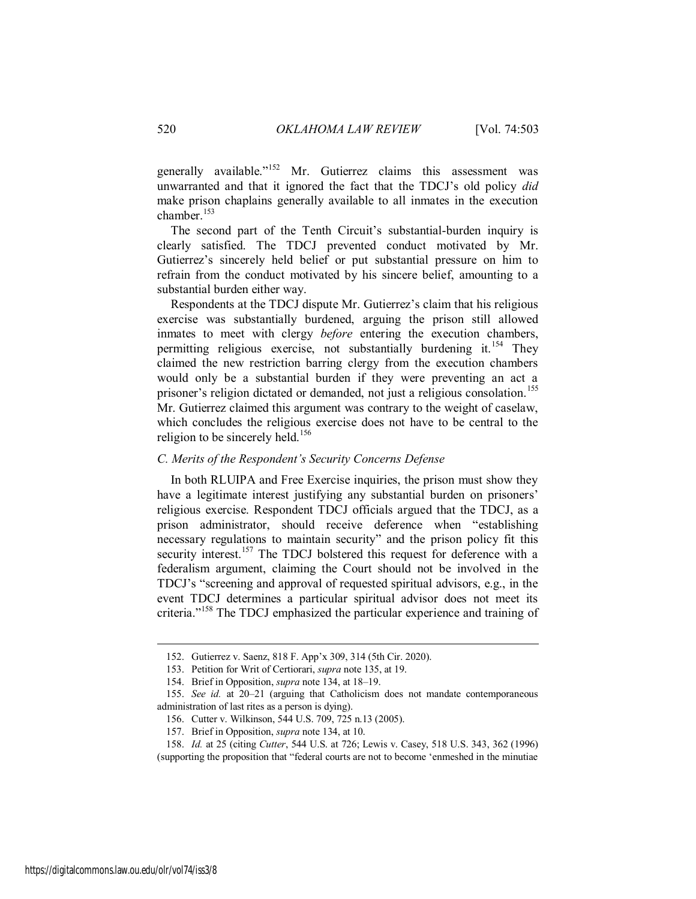generally available."<sup>152</sup> Mr. Gutierrez claims this assessment was unwarranted and that it ignored the fact that the TDCJ's old policy *did* make prison chaplains generally available to all inmates in the execution chamber.<sup>153</sup>

The second part of the Tenth Circuit's substantial-burden inquiry is clearly satisfied. The TDCJ prevented conduct motivated by Mr. Gutierrez's sincerely held belief or put substantial pressure on him to refrain from the conduct motivated by his sincere belief, amounting to a substantial burden either way.

Respondents at the TDCJ dispute Mr. Gutierrez's claim that his religious exercise was substantially burdened, arguing the prison still allowed inmates to meet with clergy *before* entering the execution chambers, permitting religious exercise, not substantially burdening it.<sup>154</sup> They claimed the new restriction barring clergy from the execution chambers would only be a substantial burden if they were preventing an act a prisoner's religion dictated or demanded, not just a religious consolation.<sup>155</sup> Mr. Gutierrez claimed this argument was contrary to the weight of caselaw, which concludes the religious exercise does not have to be central to the religion to be sincerely held.<sup>156</sup>

#### *C. Merits of the Respondent's Security Concerns Defense*

In both RLUIPA and Free Exercise inquiries, the prison must show they have a legitimate interest justifying any substantial burden on prisoners' religious exercise. Respondent TDCJ officials argued that the TDCJ, as a prison administrator, should receive deference when "establishing necessary regulations to maintain security" and the prison policy fit this security interest.<sup>157</sup> The TDCJ bolstered this request for deference with a federalism argument, claiming the Court should not be involved in the TDCJ's "screening and approval of requested spiritual advisors, e.g., in the event TDCJ determines a particular spiritual advisor does not meet its criteria."<sup>158</sup> The TDCJ emphasized the particular experience and training of

<sup>152.</sup> Gutierrez v. Saenz, 818 F. App'x 309, 314 (5th Cir. 2020).

<sup>153.</sup> Petition for Writ of Certiorari, *supra* note 135, at 19.

<sup>154.</sup> Brief in Opposition, *supra* note 134, at 18–19.

<sup>155.</sup> *See id.* at 20–21 (arguing that Catholicism does not mandate contemporaneous administration of last rites as a person is dying).

<sup>156.</sup> Cutter v. Wilkinson, 544 U.S. 709, 725 n.13 (2005).

<sup>157.</sup> Brief in Opposition, *supra* note 134, at 10.

<sup>158.</sup> *Id.* at 25 (citing *Cutter*, 544 U.S. at 726; Lewis v. Casey, 518 U.S. 343, 362 (1996)

<sup>(</sup>supporting the proposition that "federal courts are not to become 'enmeshed in the minutiae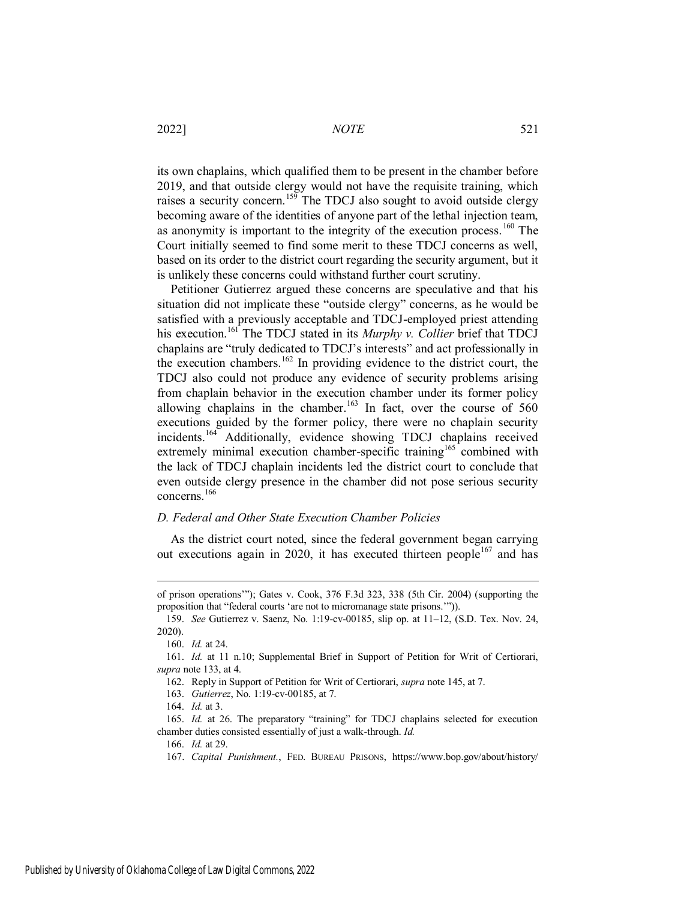its own chaplains, which qualified them to be present in the chamber before 2019, and that outside clergy would not have the requisite training, which raises a security concern.<sup>159</sup> The TDCJ also sought to avoid outside clergy becoming aware of the identities of anyone part of the lethal injection team, as anonymity is important to the integrity of the execution process.<sup>160</sup> The Court initially seemed to find some merit to these TDCJ concerns as well, based on its order to the district court regarding the security argument, but it is unlikely these concerns could withstand further court scrutiny.

Petitioner Gutierrez argued these concerns are speculative and that his situation did not implicate these "outside clergy" concerns, as he would be satisfied with a previously acceptable and TDCJ-employed priest attending his execution.<sup>161</sup> The TDCJ stated in its *Murphy v. Collier* brief that TDCJ chaplains are "truly dedicated to TDCJ's interests" and act professionally in the execution chambers.<sup>162</sup> In providing evidence to the district court, the TDCJ also could not produce any evidence of security problems arising from chaplain behavior in the execution chamber under its former policy allowing chaplains in the chamber.<sup>163</sup> In fact, over the course of  $560$ executions guided by the former policy, there were no chaplain security incidents.<sup>164</sup> Additionally, evidence showing TDCJ chaplains received extremely minimal execution chamber-specific training<sup>165</sup> combined with the lack of TDCJ chaplain incidents led the district court to conclude that even outside clergy presence in the chamber did not pose serious security concerns.<sup>166</sup>

#### *D. Federal and Other State Execution Chamber Policies*

As the district court noted, since the federal government began carrying out executions again in 2020, it has executed thirteen people<sup>167</sup> and has

of prison operations'"); Gates v. Cook, 376 F.3d 323, 338 (5th Cir. 2004) (supporting the proposition that "federal courts 'are not to micromanage state prisons.'")).

<sup>159.</sup> *See* Gutierrez v. Saenz, No. 1:19-cv-00185, slip op. at 11–12, (S.D. Tex. Nov. 24, 2020).

<sup>160.</sup> *Id.* at 24.

<sup>161.</sup> *Id.* at 11 n.10; Supplemental Brief in Support of Petition for Writ of Certiorari, *supra* note 133, at 4.

<sup>162.</sup> Reply in Support of Petition for Writ of Certiorari, *supra* note 145, at 7.

<sup>163.</sup> *Gutierrez*, No. 1:19-cv-00185, at 7.

<sup>164.</sup> *Id.* at 3.

<sup>165.</sup> *Id.* at 26. The preparatory "training" for TDCJ chaplains selected for execution chamber duties consisted essentially of just a walk-through. *Id.*

<sup>166.</sup> *Id.* at 29.

<sup>167.</sup> *Capital Punishment.*, FED. BUREAU PRISONS, https://www.bop.gov/about/history/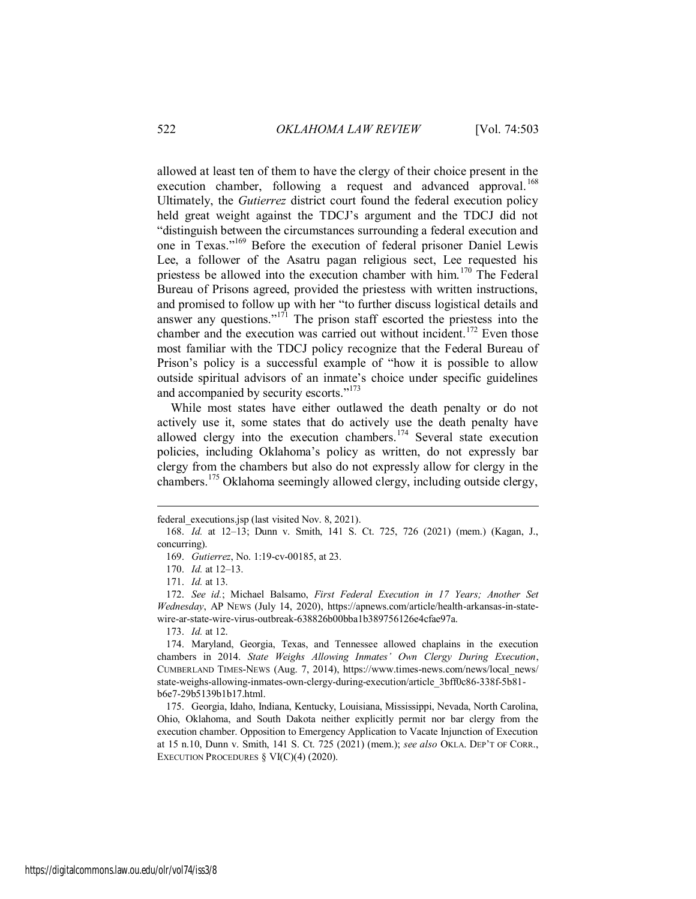allowed at least ten of them to have the clergy of their choice present in the execution chamber, following a request and advanced approval.<sup>168</sup> Ultimately, the *Gutierrez* district court found the federal execution policy held great weight against the TDCJ's argument and the TDCJ did not "distinguish between the circumstances surrounding a federal execution and one in Texas."<sup>169</sup> Before the execution of federal prisoner Daniel Lewis Lee, a follower of the Asatru pagan religious sect, Lee requested his priestess be allowed into the execution chamber with him.<sup>170</sup> The Federal Bureau of Prisons agreed, provided the priestess with written instructions, and promised to follow up with her "to further discuss logistical details and answer any questions."<sup>171</sup> The prison staff escorted the priestess into the chamber and the execution was carried out without incident.<sup>172</sup> Even those most familiar with the TDCJ policy recognize that the Federal Bureau of Prison's policy is a successful example of "how it is possible to allow outside spiritual advisors of an inmate's choice under specific guidelines and accompanied by security escorts."<sup>173</sup>

While most states have either outlawed the death penalty or do not actively use it, some states that do actively use the death penalty have allowed clergy into the execution chambers.<sup>174</sup> Several state execution policies, including Oklahoma's policy as written, do not expressly bar clergy from the chambers but also do not expressly allow for clergy in the chambers.<sup>175</sup> Oklahoma seemingly allowed clergy, including outside clergy,

170. *Id.* at 12–13.

 $\overline{a}$ 

173. *Id.* at 12.

federal\_executions.jsp (last visited Nov. 8, 2021).

<sup>168.</sup> *Id.* at 12–13; Dunn v. Smith, 141 S. Ct. 725, 726 (2021) (mem.) (Kagan, J., concurring).

<sup>169.</sup> *Gutierrez*, No. 1:19-cv-00185, at 23.

<sup>171.</sup> *Id.* at 13.

<sup>172.</sup> *See id.*; Michael Balsamo, *First Federal Execution in 17 Years; Another Set Wednesday*, AP NEWS (July 14, 2020), https://apnews.com/article/health-arkansas-in-statewire-ar-state-wire-virus-outbreak-638826b00bba1b389756126e4cfae97a.

<sup>174.</sup> Maryland, Georgia, Texas, and Tennessee allowed chaplains in the execution chambers in 2014. *State Weighs Allowing Inmates' Own Clergy During Execution*, CUMBERLAND TIMES-NEWS (Aug. 7, 2014), https://www.times-news.com/news/local\_news/ state-weighs-allowing-inmates-own-clergy-during-execution/article\_3bff0c86-338f-5b81 b6e7-29b5139b1b17.html.

<sup>175.</sup> Georgia, Idaho, Indiana, Kentucky, Louisiana, Mississippi, Nevada, North Carolina, Ohio, Oklahoma, and South Dakota neither explicitly permit nor bar clergy from the execution chamber. Opposition to Emergency Application to Vacate Injunction of Execution at 15 n.10, Dunn v. Smith, 141 S. Ct. 725 (2021) (mem.); *see also* OKLA. DEP'T OF CORR., EXECUTION PROCEDURES § VI(C)(4) (2020).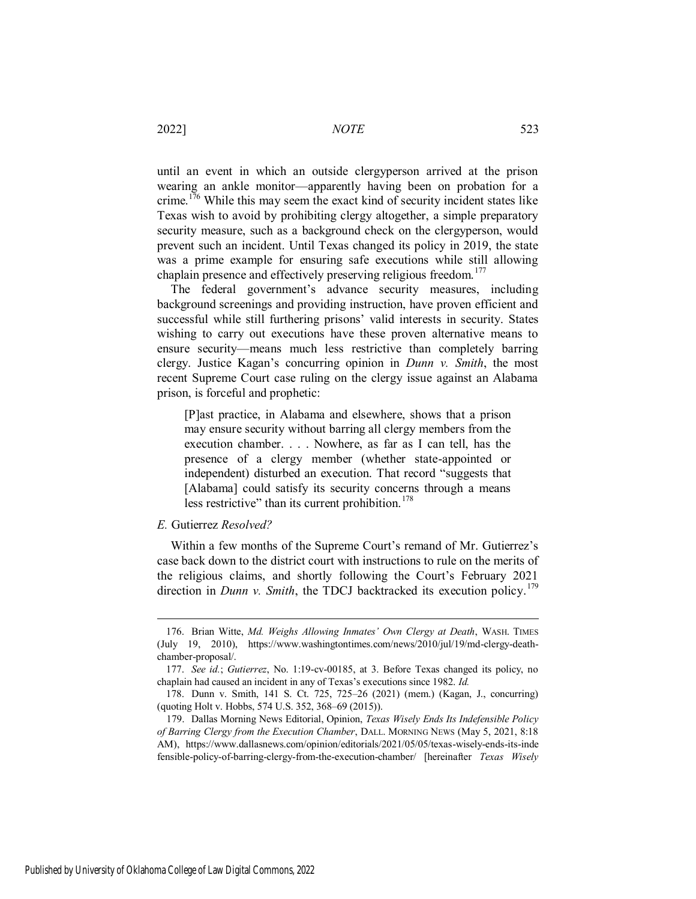until an event in which an outside clergyperson arrived at the prison wearing an ankle monitor—apparently having been on probation for a crime.<sup>176</sup> While this may seem the exact kind of security incident states like Texas wish to avoid by prohibiting clergy altogether, a simple preparatory security measure, such as a background check on the clergyperson, would prevent such an incident. Until Texas changed its policy in 2019, the state was a prime example for ensuring safe executions while still allowing chaplain presence and effectively preserving religious freedom.<sup>177</sup>

The federal government's advance security measures, including background screenings and providing instruction, have proven efficient and successful while still furthering prisons' valid interests in security. States wishing to carry out executions have these proven alternative means to ensure security—means much less restrictive than completely barring clergy. Justice Kagan's concurring opinion in *Dunn v. Smith*, the most recent Supreme Court case ruling on the clergy issue against an Alabama prison, is forceful and prophetic:

[P]ast practice, in Alabama and elsewhere, shows that a prison may ensure security without barring all clergy members from the execution chamber. . . . Nowhere, as far as I can tell, has the presence of a clergy member (whether state-appointed or independent) disturbed an execution. That record "suggests that [Alabama] could satisfy its security concerns through a means less restrictive" than its current prohibition.<sup>178</sup>

#### *E.* Gutierrez *Resolved?*

Within a few months of the Supreme Court's remand of Mr. Gutierrez's case back down to the district court with instructions to rule on the merits of the religious claims, and shortly following the Court's February 2021 direction in *Dunn v. Smith*, the TDCJ backtracked its execution policy.<sup>179</sup>

<sup>176.</sup> Brian Witte, *Md. Weighs Allowing Inmates' Own Clergy at Death*, WASH. TIMES (July 19, 2010), https://www.washingtontimes.com/news/2010/jul/19/md-clergy-deathchamber-proposal/.

<sup>177.</sup> *See id.*; *Gutierrez*, No. 1:19-cv-00185, at 3. Before Texas changed its policy, no chaplain had caused an incident in any of Texas's executions since 1982. *Id.*

<sup>178.</sup> Dunn v. Smith, 141 S. Ct. 725, 725–26 (2021) (mem.) (Kagan, J., concurring) (quoting Holt v. Hobbs, 574 U.S. 352, 368–69 (2015)).

<sup>179.</sup> Dallas Morning News Editorial, Opinion, *Texas Wisely Ends Its Indefensible Policy of Barring Clergy from the Execution Chamber*, DALL. MORNING NEWS (May 5, 2021, 8:18 AM), https://www.dallasnews.com/opinion/editorials/2021/05/05/texas-wisely-ends-its-inde fensible-policy-of-barring-clergy-from-the-execution-chamber/ [hereinafter *Texas Wisely*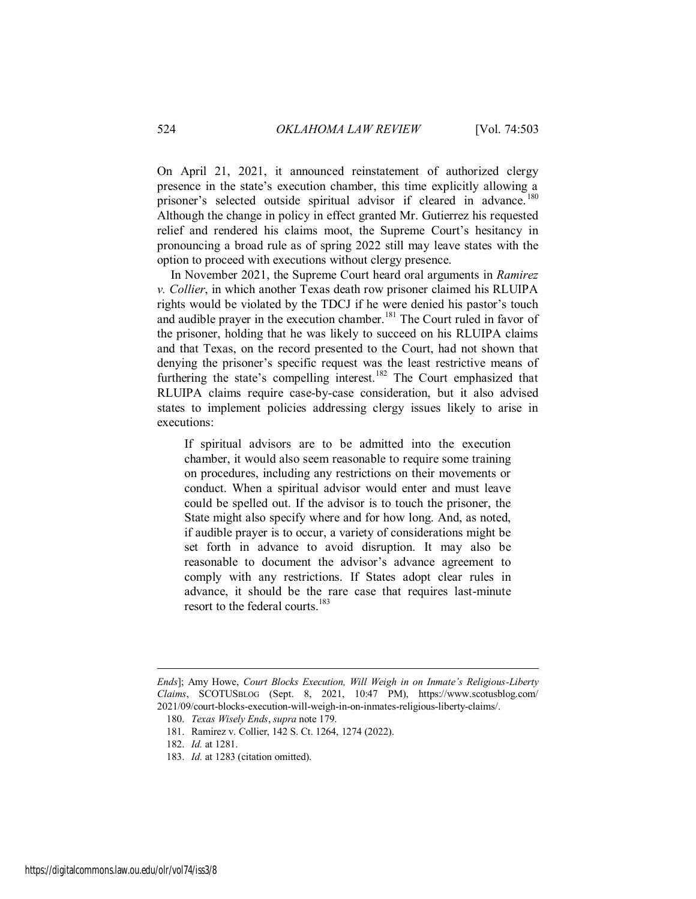On April 21, 2021, it announced reinstatement of authorized clergy presence in the state's execution chamber, this time explicitly allowing a prisoner's selected outside spiritual advisor if cleared in advance.<sup>180</sup> Although the change in policy in effect granted Mr. Gutierrez his requested relief and rendered his claims moot, the Supreme Court's hesitancy in pronouncing a broad rule as of spring 2022 still may leave states with the option to proceed with executions without clergy presence.

In November 2021, the Supreme Court heard oral arguments in *Ramirez v. Collier*, in which another Texas death row prisoner claimed his RLUIPA rights would be violated by the TDCJ if he were denied his pastor's touch and audible prayer in the execution chamber.<sup>181</sup> The Court ruled in favor of the prisoner, holding that he was likely to succeed on his RLUIPA claims and that Texas, on the record presented to the Court, had not shown that denying the prisoner's specific request was the least restrictive means of furthering the state's compelling interest.<sup>182</sup> The Court emphasized that RLUIPA claims require case-by-case consideration, but it also advised states to implement policies addressing clergy issues likely to arise in executions:

If spiritual advisors are to be admitted into the execution chamber, it would also seem reasonable to require some training on procedures, including any restrictions on their movements or conduct. When a spiritual advisor would enter and must leave could be spelled out. If the advisor is to touch the prisoner, the State might also specify where and for how long. And, as noted, if audible prayer is to occur, a variety of considerations might be set forth in advance to avoid disruption. It may also be reasonable to document the advisor's advance agreement to comply with any restrictions. If States adopt clear rules in advance, it should be the rare case that requires last-minute resort to the federal courts.<sup>183</sup>

*Ends*]; Amy Howe, *Court Blocks Execution, Will Weigh in on Inmate's Religious-Liberty Claims*, SCOTUSBLOG (Sept. 8, 2021, 10:47 PM), https://www.scotusblog.com/ 2021/09/court-blocks-execution-will-weigh-in-on-inmates-religious-liberty-claims/.

<sup>180.</sup> *Texas Wisely Ends*, *supra* note 179.

<sup>181.</sup> Ramirez v. Collier, 142 S. Ct. 1264, 1274 (2022).

<sup>182.</sup> *Id.* at 1281.

<sup>183.</sup> *Id.* at 1283 (citation omitted).